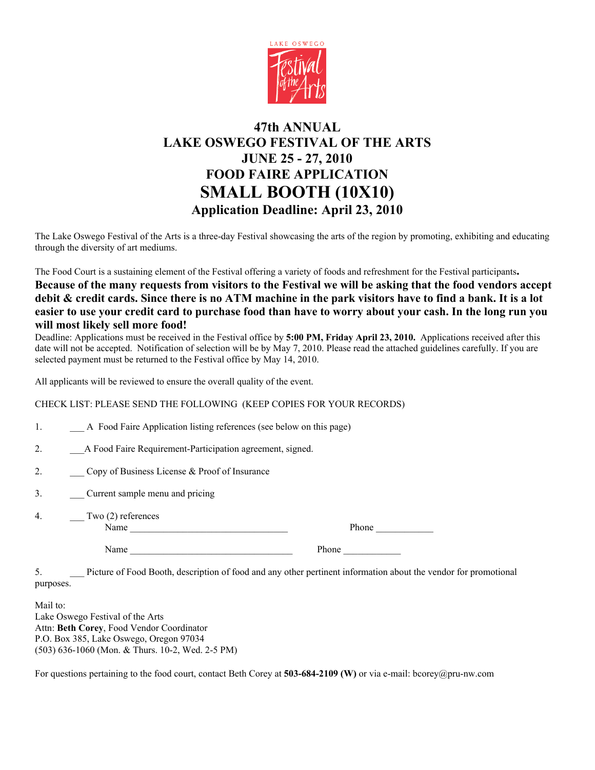

## **47th ANNUAL LAKE OSWEGO FESTIVAL OF THE ARTS JUNE 25 - 27, 2010 FOOD FAIRE APPLICATION SMALL BOOTH (10X10) Application Deadline: April 23, 2010**

The Lake Oswego Festival of the Arts is a three-day Festival showcasing the arts of the region by promoting, exhibiting and educating through the diversity of art mediums.

The Food Court is a sustaining element of the Festival offering a variety of foods and refreshment for the Festival participants**.**

## **Because of the many requests from visitors to the Festival we will be asking that the food vendors accept debit & credit cards. Since there is no ATM machine in the park visitors have to find a bank. It is a lot easier to use your credit card to purchase food than have to worry about your cash. In the long run you will most likely sell more food!**

Deadline: Applications must be received in the Festival office by **5:00 PM, Friday April 23, 2010.** Applications received after this date will not be accepted. Notification of selection will be by May 7, 2010. Please read the attached guidelines carefully. If you are selected payment must be returned to the Festival office by May 14, 2010.

All applicants will be reviewed to ensure the overall quality of the event.

CHECK LIST: PLEASE SEND THE FOLLOWING (KEEP COPIES FOR YOUR RECORDS)

- 1. A Food Faire Application listing references (see below on this page)
- 2. A Food Faire Requirement-Participation agreement, signed.
- 2. Copy of Business License & Proof of Insurance
- 3. \_\_\_ Current sample menu and pricing
- 4. Two (2) references Name \_\_\_\_\_\_\_\_\_\_\_\_\_\_\_\_\_\_\_\_\_\_\_\_\_\_\_\_\_\_\_\_\_ Phone \_\_\_\_\_\_\_\_\_\_\_\_

| Phone |  |  |  |
|-------|--|--|--|
|       |  |  |  |

Name Phone

5. \_\_\_ Picture of Food Booth, description of food and any other pertinent information about the vendor for promotional purposes.

Mail to: Lake Oswego Festival of the Arts Attn: **Beth Corey**, Food Vendor Coordinator P.O. Box 385, Lake Oswego, Oregon 97034 (503) 636-1060 (Mon. & Thurs. 10-2, Wed. 2-5 PM)

For questions pertaining to the food court, contact Beth Corey at **503-684-2109 (W)** or via e-mail: bcorey@pru-nw.com